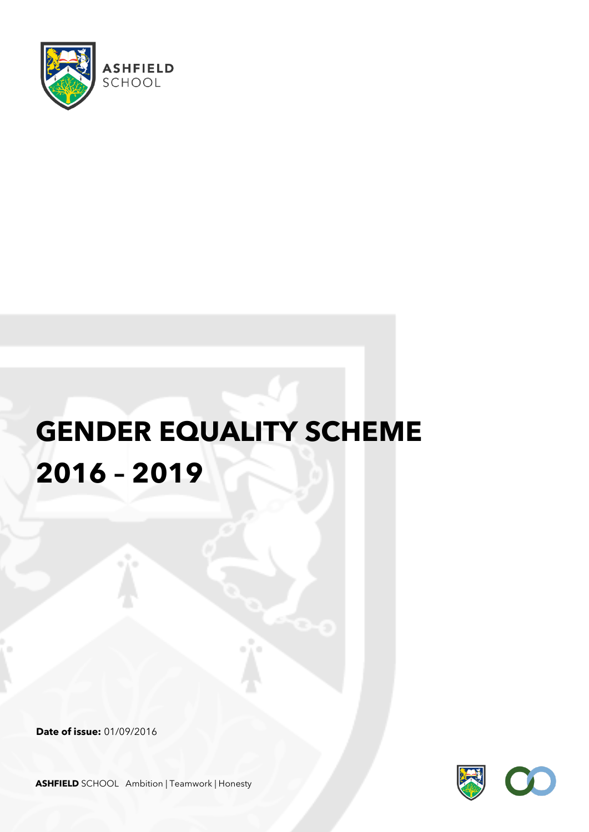

# **GENDER EQUALITY SCHEME 2016 – 2019**

**Date of issue:** 01/09/2016



**ASHFIELD** SCHOOL Ambition | Teamwork | Honesty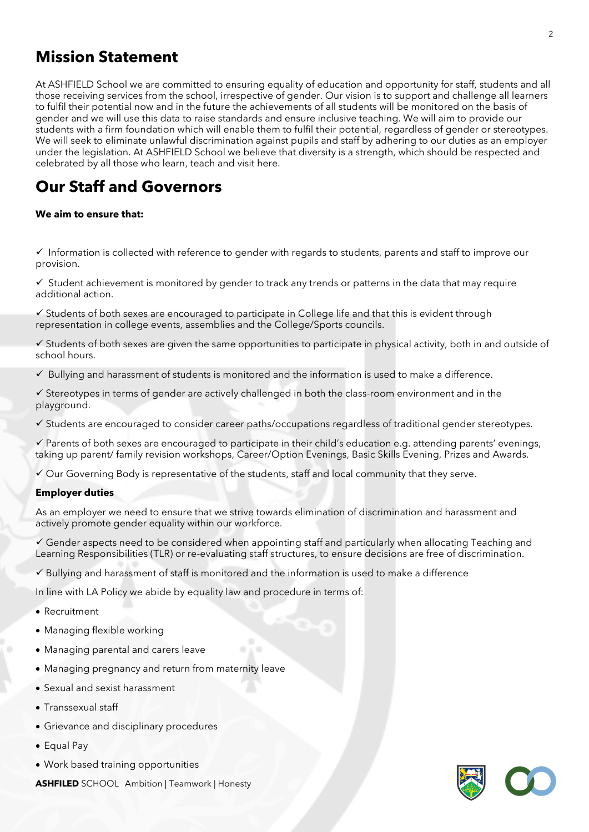## **Mission Statement**

At ASHFIELD School we are committed to ensuring equality of education and opportunity for staff, students and all those receiving services from the school, irrespective of gender. Our vision is to support and challenge all learners to fulfil their potential now and in the future the achievements of all students will be monitored on the basis of gender and we will use this data to raise standards and ensure inclusive teaching. We will aim to provide our students with a firm foundation which will enable them to fulfil their potential, regardless of gender or stereotypes. We will seek to eliminate unlawful discrimination against pupils and staff by adhering to our duties as an employer under the legislation. At ASHFIELD School we believe that diversity is a strength, which should be respected and celebrated by all those who learn, teach and visit here.

## **Our Staff and Governors**

#### **We aim to ensure that:**

✓ Information is collected with reference to gender with regards to students, parents and staff to improve our provision.

 $\checkmark$  Student achievement is monitored by gender to track any trends or patterns in the data that may require additional action.

✓ Students of both sexes are encouraged to participate in College life and that this is evident through representation in college events, assemblies and the College/Sports councils.

✓ Students of both sexes are given the same opportunities to participate in physical activity, both in and outside of school hours.

 $\checkmark$  Bullying and harassment of students is monitored and the information is used to make a difference.

✓ Stereotypes in terms of gender are actively challenged in both the class-room environment and in the playground.

✓ Students are encouraged to consider career paths/occupations regardless of traditional gender stereotypes.

 $\checkmark$  Parents of both sexes are encouraged to participate in their child's education e.g. attending parents' evenings, taking up parent/ family revision workshops, Career/Option Evenings, Basic Skills Evening, Prizes and Awards.

✓ Our Governing Body is representative of the students, staff and local community that they serve.

#### **Employer duties**

As an employer we need to ensure that we strive towards elimination of discrimination and harassment and actively promote gender equality within our workforce.

✓ Gender aspects need to be considered when appointing staff and particularly when allocating Teaching and Learning Responsibilities (TLR) or re-evaluating staff structures, to ensure decisions are free of discrimination.

✓ Bullying and harassment of staff is monitored and the information is used to make a difference

In line with LA Policy we abide by equality law and procedure in terms of:

- Recruitment
- Managing flexible working
- Managing parental and carers leave
- Managing pregnancy and return from maternity leave
- Sexual and sexist harassment
- Transsexual staff
- Grievance and disciplinary procedures
- Equal Pay
- Work based training opportunities

**ASHFILED** SCHOOL Ambition | Teamwork | Honesty

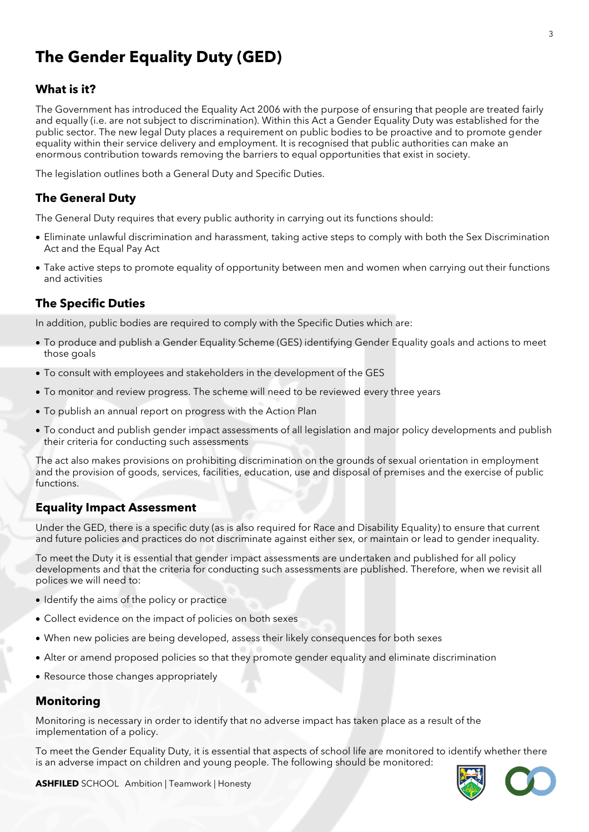# **The Gender Equality Duty (GED)**

#### **What is it?**

The Government has introduced the Equality Act 2006 with the purpose of ensuring that people are treated fairly and equally (i.e. are not subject to discrimination). Within this Act a Gender Equality Duty was established for the public sector. The new legal Duty places a requirement on public bodies to be proactive and to promote gender equality within their service delivery and employment. It is recognised that public authorities can make an enormous contribution towards removing the barriers to equal opportunities that exist in society.

The legislation outlines both a General Duty and Specific Duties.

## **The General Duty**

The General Duty requires that every public authority in carrying out its functions should:

- Eliminate unlawful discrimination and harassment, taking active steps to comply with both the Sex Discrimination Act and the Equal Pay Act
- Take active steps to promote equality of opportunity between men and women when carrying out their functions and activities

### **The Specific Duties**

In addition, public bodies are required to comply with the Specific Duties which are:

- To produce and publish a Gender Equality Scheme (GES) identifying Gender Equality goals and actions to meet those goals
- To consult with employees and stakeholders in the development of the GES
- To monitor and review progress. The scheme will need to be reviewed every three years
- To publish an annual report on progress with the Action Plan
- To conduct and publish gender impact assessments of all legislation and major policy developments and publish their criteria for conducting such assessments

The act also makes provisions on prohibiting discrimination on the grounds of sexual orientation in employment and the provision of goods, services, facilities, education, use and disposal of premises and the exercise of public functions.

### **Equality Impact Assessment**

Under the GED, there is a specific duty (as is also required for Race and Disability Equality) to ensure that current and future policies and practices do not discriminate against either sex, or maintain or lead to gender inequality.

To meet the Duty it is essential that gender impact assessments are undertaken and published for all policy developments and that the criteria for conducting such assessments are published. Therefore, when we revisit all polices we will need to:

- Identify the aims of the policy or practice
- Collect evidence on the impact of policies on both sexes
- When new policies are being developed, assess their likely consequences for both sexes
- Alter or amend proposed policies so that they promote gender equality and eliminate discrimination
- Resource those changes appropriately

#### **Monitoring**

Monitoring is necessary in order to identify that no adverse impact has taken place as a result of the implementation of a policy.

To meet the Gender Equality Duty, it is essential that aspects of school life are monitored to identify whether there is an adverse impact on children and young people. The following should be monitored:



**ASHFILED** SCHOOL Ambition | Teamwork | Honesty